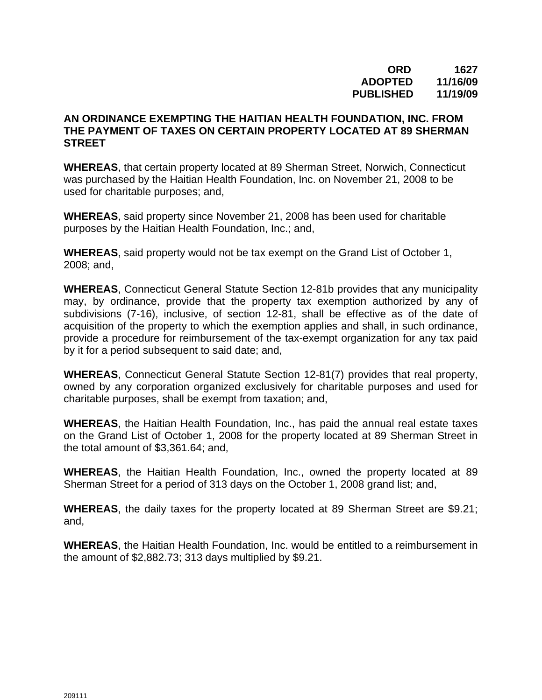## **ORD 1627 ADOPTED 11/16/09 PUBLISHED 11/19/09**

## **AN ORDINANCE EXEMPTING THE HAITIAN HEALTH FOUNDATION, INC. FROM THE PAYMENT OF TAXES ON CERTAIN PROPERTY LOCATED AT 89 SHERMAN STREET**

**WHEREAS**, that certain property located at 89 Sherman Street, Norwich, Connecticut was purchased by the Haitian Health Foundation, Inc. on November 21, 2008 to be used for charitable purposes; and,

**WHEREAS**, said property since November 21, 2008 has been used for charitable purposes by the Haitian Health Foundation, Inc.; and,

**WHEREAS**, said property would not be tax exempt on the Grand List of October 1, 2008; and,

**WHEREAS**, Connecticut General Statute Section 12-81b provides that any municipality may, by ordinance, provide that the property tax exemption authorized by any of subdivisions (7-16), inclusive, of section 12-81, shall be effective as of the date of acquisition of the property to which the exemption applies and shall, in such ordinance, provide a procedure for reimbursement of the tax-exempt organization for any tax paid by it for a period subsequent to said date; and,

**WHEREAS**, Connecticut General Statute Section 12-81(7) provides that real property, owned by any corporation organized exclusively for charitable purposes and used for charitable purposes, shall be exempt from taxation; and,

**WHEREAS**, the Haitian Health Foundation, Inc., has paid the annual real estate taxes on the Grand List of October 1, 2008 for the property located at 89 Sherman Street in the total amount of \$3,361.64; and,

**WHEREAS**, the Haitian Health Foundation, Inc., owned the property located at 89 Sherman Street for a period of 313 days on the October 1, 2008 grand list; and,

**WHEREAS**, the daily taxes for the property located at 89 Sherman Street are \$9.21; and,

**WHEREAS**, the Haitian Health Foundation, Inc. would be entitled to a reimbursement in the amount of \$2,882.73; 313 days multiplied by \$9.21.